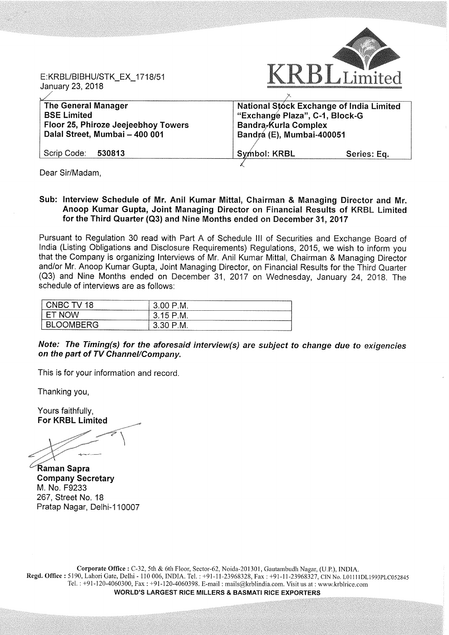E:KRBL/BIBHU/STK\_EX\_\_1718/51 January 23, 2018 anuary 23, 2018  $\overline{\hspace{1cm}}$ 



| <b>The General Manager</b>          | National Stóck Exchange of India Limited |             |
|-------------------------------------|------------------------------------------|-------------|
| <b>BSE Limited</b>                  | "Exchange Plaza", C-1, Block-G           |             |
| Floor 25, Phiroze Jeejeebhoy Towers | Bandra-Kurla Complex                     |             |
| Dalal Street, Mumbai - 400 001      | Bandrá (E), Mumbai-400051                |             |
| Scrip Code: 530813                  | Symbol: KRBL                             | Series: Eq. |

Dear Sir/Madam,

Sub: Interview Schedule of Mr. Anil Kumar Mittal, Chairman & Managing Director and Mr. Anoop Kumar Gupta, Joint Managing Director on Financial Results of KRBL Limited for the Third Quarter (Q3) and Nine Months ended on December 31, 2017

Pursuant to Regulation 30 read with Part A of Schedule III of Securities and Exchange Board of India (Listing Obligations and Disclosure Requirements) Regulations, 2015, we wish to inform you that the Company is organizing Interviews of Mr. Anil Kumar Mittal, Chairman & Managing Director and/or Mr. Anoop Kumar Gupta, Joint Managing Director, on Financial Results for the Third Quarter (03) and Nine Months ended on December 31, 2017 on Wednesday, January 24, 2018. The schedule of interviews are as follows:

| TΜ<br>-------------------------------------<br>--------------------- | --------------------------<br>M.<br>⊾                                                |
|----------------------------------------------------------------------|--------------------------------------------------------------------------------------|
| <b>PERSONAL PROPERTY</b>                                             | M.<br>$\overline{\phantom{a}}$<br><b>.</b><br>◡<br>ບ<br>-----------------<br>------- |
| '' -                                                                 | ------------<br>-----------------------<br>M.<br>◡<br>∼                              |

## Note: The Timing(s) for the aforesaid interview(s) are subject to change due to exigencies on the part of TV Channel/Company.

This is for your information and record.

Thanking you,

Yours faithfully, For KRBL Limited

41» -' —— WM

aman Sapra Company Secretary M. No. F9233 267, Street No. 18 Pratap Nagar, Delhi-110007